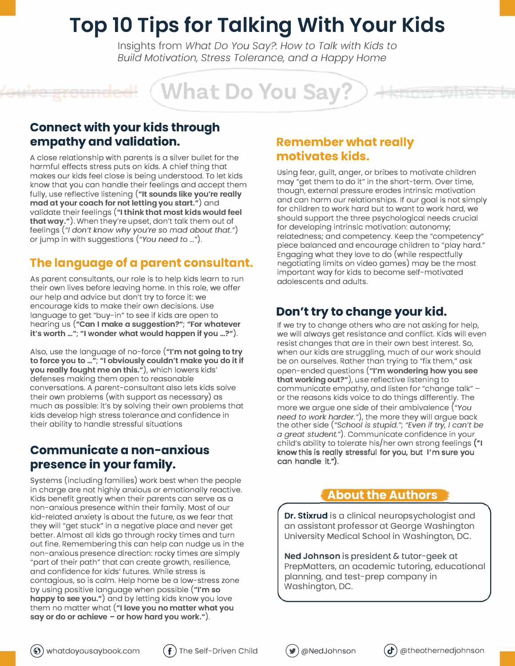# **Top 10 Tips for Talking With Your Kids**

Insights from *What Do You Say?: How to Talk with Kids to Build Motivation, Stress Tolerance, and a Happy Home* 

**What Do You Say?** 

#### **Connect with your kids through empathy and validation.**

A close relationship with parents is a silver bullet for the harmful effects stress puts on kids. A chief thing that makes our kids feel close is being understood. To let kids know that you can handle their feelings and accept them fully, use reflective listening **("It sounds like you're really mad at your coach for not letting you start.")** and validate their feelings **("I think that most kids would feel that way.").** When they're upset, don't talk them out of feelings("/ *don't know why you're* so *mad about that.")* or jump in with suggestions *("You need* to ... ").

### **The language of a parent consultant.**

As parent consultants, our role is to help kids learn to run their own lives before leaving home. In this role, we offer our help and advice but don't try to force it: we encourage kids to make their own decisions. Use language to get "buy-in" to see if kids are open to hearing us **("Can I make a suggestion?"; "For whatever it's worth ..."; "I wonder what would happen if you ...?").** 

Also, use the language of no-force **("I'm not going to try to force you to** ... "; **"I obviously couldn't make you do it if you really fought me on this."),** which lowers kids' defenses making them open to reasonable conversations. A parent-consultant also lets kids solve their own problems (with support as necessary) as much as possible: it's by solving their own problems that kids develop high stress tolerance and confidence in their ability to handle stressful situations

### **Communicate a non-anxious presence in your family.**

Systems (including families) work best when the people in charge are not highly anxious or emotionally reactive. Kids benefit greatly when their parents can serve as a non-anxious presence within their family. Most of our kid-related anxiety is about the future, as we fear that they will "get stuck" in a negative place and never get better. Almost all kids go through rocky times and turn out fine. Remembering this can help can nudge us in the non-anxious presence direction: rocky times are simply "part of their path" that can create growth, resilience, and confidence for kids' futures. While stress is contagious, so is calm. Help home be a low-stress zone by using positive language when possible **("I'm so happy to see you.")** and by letting kids know you love them no matter what **("I love you no matter what you say or do or achieve - or how hard you work.").** 

### **Remember what really motivates kids.**

Using fear, guilt, anger, or bribes to motivate children may "get them to do it" in the short-term. Over time, though, external pressure erodes intrinsic motivation and can harm our relationships. If our goal is not simply for children to work hard but to want to work hard, we should support the three psychological needs crucial for developing intrinsic motivation: autonomy; relatedness; and competency. Keep the "competency" piece balanced and encourage children to "play hard." Engaging what they love to do (while respectfully negotiating limits on video games) may be the most important way for kids to become self-motivated adolescents and adults.

### **Don't try to change your kid.**

If we try to change others who are not asking for help, we will always get resistance and conflict. Kids will even resist changes that are in their own best interest. So, when our kids are struggling, much of our work should be on ourselves. Rather than trying to "fix them," ask open-ended questions **("I'm wondering how you see that working out?"),** use reflective listening to communicate empathy, and listen for "change talk" or the reasons kids voice to do things differently. The more we argue one side of their ambivalence *("You need to work harder."),* the more they will argue back the other side ("Schoo/ *is stupid."; "Even if try, I can't be a great* student."). Communicate confidence in your child's ability to tolerate his/her own strong feelings ("I know this is really stressful for you, but I'm sure you can handle it.").

### **About the Authors**

**Dr. Stixrud** is a clinical neuropsychologist and an assistant professor at George Washington University Medical School in Washington, DC.

**Ned Johnson** is president & tutor-geek at PrepMatters, an academic tutoring, educational planning, and test-prep company in Washington, DC.